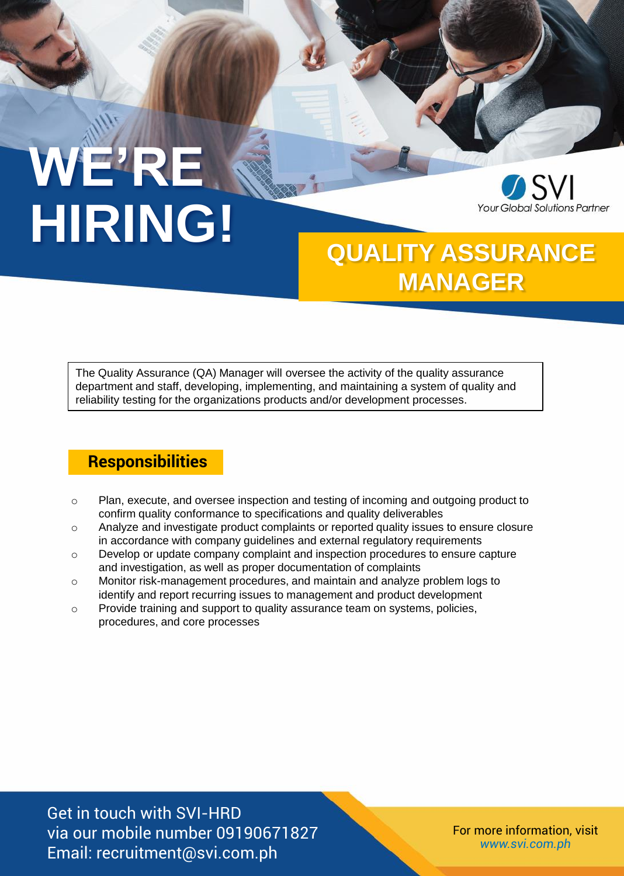# **WE'RE HIRING!**



## **QUALITY ASSURANCE MANAGER**

The Quality Assurance (QA) Manager will oversee the activity of the quality assurance department and staff, developing, implementing, and maintaining a system of quality and reliability testing for the organizations products and/or development processes.

#### **Responsibilities**

- o Plan, execute, and oversee inspection and testing of incoming and outgoing product to confirm quality conformance to specifications and quality deliverables
- o Analyze and investigate product complaints or reported quality issues to ensure closure in accordance with company guidelines and external regulatory requirements
- $\circ$  Develop or update company complaint and inspection procedures to ensure capture and investigation, as well as proper documentation of complaints
- o Monitor risk-management procedures, and maintain and analyze problem logs to identify and report recurring issues to management and product development
- o Provide training and support to quality assurance team on systems, policies, procedures, and core processes

Get in touch with SVI-HRD via our mobile number 09190671827 Email: recruitment@svi.com.ph

For more information, visit *www.svi.com.ph*